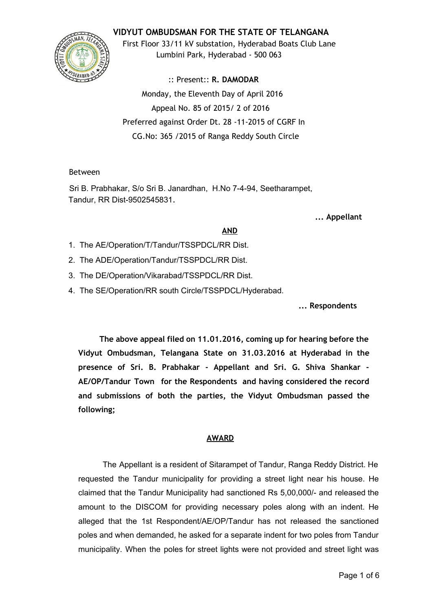# **VIDYUT OMBUDSMAN FOR THE STATE OF TELANGANA**



First Floor 33/11 kV substation, Hyderabad Boats Club Lane Lumbini Park, Hyderabad ‐ 500 063

:: Present:: **R. DAMODAR** Monday, the Eleventh Day of April 2016 Appeal No. 85 of 2015/ 2 of 2016 Preferred against Order Dt. 28 ‐11‐2015 of CGRF In CG.No: 365 /2015 of Ranga Reddy South Circle

## Between

Sri B. Prabhakar, S/o Sri B. Janardhan, H.No 7-4-94, Seetharampet, Tandur, RR Dist-9502545831.

**... Appellant**

## **AND**

- 1. The AE/Operation/T/Tandur/TSSPDCL/RR Dist.
- 2. The ADE/Operation/Tandur/TSSPDCL/RR Dist.
- 3. The DE/Operation/Vikarabad/TSSPDCL/RR Dist.
- 4. The SE/Operation/RR south Circle/TSSPDCL/Hyderabad.

**... Respondents**

**The above appeal filed on 11.01.2016, coming up for hearing before the Vidyut Ombudsman, Telangana State on 31.03.2016 at Hyderabad in the presence of Sri. B. Prabhakar ‐ Appellant and Sri. G. Shiva Shankar ‐ AE/OP/Tandur Town for the Respondents and having considered the record and submissions of both the parties, the Vidyut Ombudsman passed the following;**

## **AWARD**

The Appellant is a resident of Sitarampet of Tandur, Ranga Reddy District. He requested the Tandur municipality for providing a street light near his house. He claimed that the Tandur Municipality had sanctioned Rs 5,00,000/ and released the amount to the DISCOM for providing necessary poles along with an indent. He alleged that the 1st Respondent/AE/OP/Tandur has not released the sanctioned poles and when demanded, he asked for a separate indent for two poles from Tandur municipality. When the poles for street lights were not provided and street light was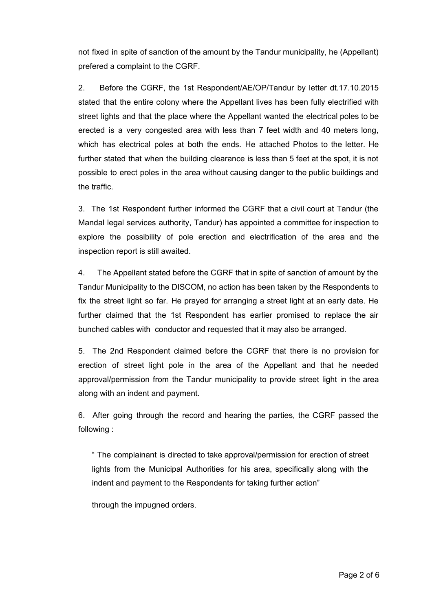not fixed in spite of sanction of the amount by the Tandur municipality, he (Appellant) prefered a complaint to the CGRF.

2. Before the CGRF, the 1st Respondent/AE/OP/Tandur by letter dt.17.10.2015 stated that the entire colony where the Appellant lives has been fully electrified with street lights and that the place where the Appellant wanted the electrical poles to be erected is a very congested area with less than 7 feet width and 40 meters long, which has electrical poles at both the ends. He attached Photos to the letter. He further stated that when the building clearance is less than 5 feet at the spot, it is not possible to erect poles in the area without causing danger to the public buildings and the traffic.

3. The 1st Respondent further informed the CGRF that a civil court at Tandur (the Mandal legal services authority, Tandur) has appointed a committee for inspection to explore the possibility of pole erection and electrification of the area and the inspection report is still awaited.

4. The Appellant stated before the CGRF that in spite of sanction of amount by the Tandur Municipality to the DISCOM, no action has been taken by the Respondents to fix the street light so far. He prayed for arranging a street light at an early date. He further claimed that the 1st Respondent has earlier promised to replace the air bunched cables with conductor and requested that it may also be arranged.

5. The 2nd Respondent claimed before the CGRF that there is no provision for erection of street light pole in the area of the Appellant and that he needed approval/permission from the Tandur municipality to provide street light in the area along with an indent and payment.

6. After going through the record and hearing the parties, the CGRF passed the following :

" The complainant is directed to take approval/permission for erection of street lights from the Municipal Authorities for his area, specifically along with the indent and payment to the Respondents for taking further action"

through the impugned orders.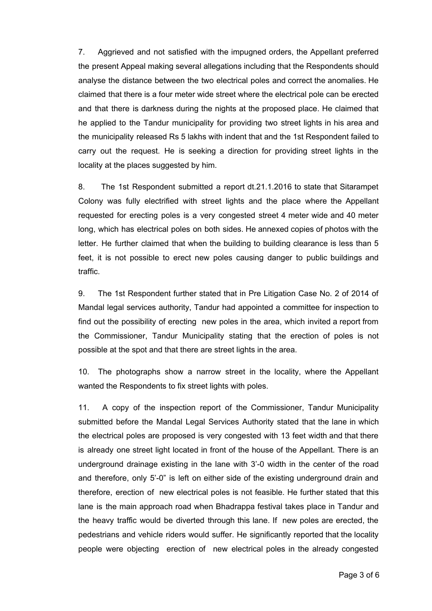7. Aggrieved and not satisfied with the impugned orders, the Appellant preferred the present Appeal making several allegations including that the Respondents should analyse the distance between the two electrical poles and correct the anomalies. He claimed that there is a four meter wide street where the electrical pole can be erected and that there is darkness during the nights at the proposed place. He claimed that he applied to the Tandur municipality for providing two street lights in his area and the municipality released Rs 5 lakhs with indent that and the 1st Respondent failed to carry out the request. He is seeking a direction for providing street lights in the locality at the places suggested by him.

8. The 1st Respondent submitted a report dt.21.1.2016 to state that Sitarampet Colony was fully electrified with street lights and the place where the Appellant requested for erecting poles is a very congested street 4 meter wide and 40 meter long, which has electrical poles on both sides. He annexed copies of photos with the letter. He further claimed that when the building to building clearance is less than 5 feet, it is not possible to erect new poles causing danger to public buildings and traffic.

9. The 1st Respondent further stated that in Pre Litigation Case No. 2 of 2014 of Mandal legal services authority, Tandur had appointed a committee for inspection to find out the possibility of erecting new poles in the area, which invited a report from the Commissioner, Tandur Municipality stating that the erection of poles is not possible at the spot and that there are street lights in the area.

10. The photographs show a narrow street in the locality, where the Appellant wanted the Respondents to fix street lights with poles.

11. A copy of the inspection report of the Commissioner, Tandur Municipality submitted before the Mandal Legal Services Authority stated that the lane in which the electrical poles are proposed is very congested with 13 feet width and that there is already one street light located in front of the house of the Appellant. There is an underground drainage existing in the lane with 3'0 width in the center of the road and therefore, only 5'0" is left on either side of the existing underground drain and therefore, erection of new electrical poles is not feasible. He further stated that this lane is the main approach road when Bhadrappa festival takes place in Tandur and the heavy traffic would be diverted through this lane. If new poles are erected, the pedestrians and vehicle riders would suffer. He significantly reported that the locality people were objecting erection of new electrical poles in the already congested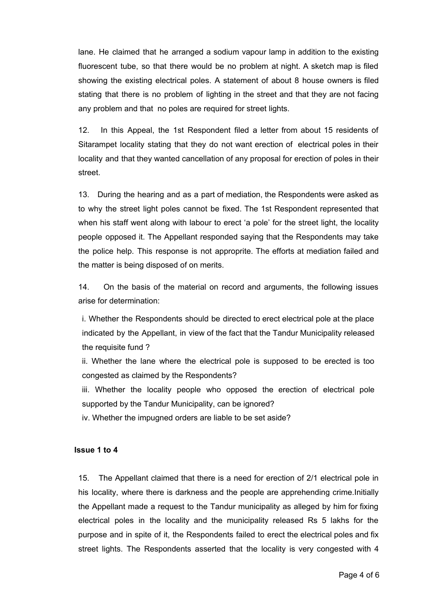lane. He claimed that he arranged a sodium vapour lamp in addition to the existing fluorescent tube, so that there would be no problem at night. A sketch map is filed showing the existing electrical poles. A statement of about 8 house owners is filed stating that there is no problem of lighting in the street and that they are not facing any problem and that no poles are required for street lights.

12. In this Appeal, the 1st Respondent filed a letter from about 15 residents of Sitarampet locality stating that they do not want erection of electrical poles in their locality and that they wanted cancellation of any proposal for erection of poles in their street.

13. During the hearing and as a part of mediation, the Respondents were asked as to why the street light poles cannot be fixed. The 1st Respondent represented that when his staff went along with labour to erect 'a pole' for the street light, the locality people opposed it. The Appellant responded saying that the Respondents may take the police help. This response is not approprite. The efforts at mediation failed and the matter is being disposed of on merits.

14. On the basis of the material on record and arguments, the following issues arise for determination:

i. Whether the Respondents should be directed to erect electrical pole at the place indicated by the Appellant, in view of the fact that the Tandur Municipality released the requisite fund ?

ii. Whether the lane where the electrical pole is supposed to be erected is too congested as claimed by the Respondents?

iii. Whether the locality people who opposed the erection of electrical pole supported by the Tandur Municipality, can be ignored?

iv. Whether the impugned orders are liable to be set aside?

## **Issue 1 to 4**

15. The Appellant claimed that there is a need for erection of 2/1 electrical pole in his locality, where there is darkness and the people are apprehending crime.Initially the Appellant made a request to the Tandur municipality as alleged by him for fixing electrical poles in the locality and the municipality released Rs 5 lakhs for the purpose and in spite of it, the Respondents failed to erect the electrical poles and fix street lights. The Respondents asserted that the locality is very congested with 4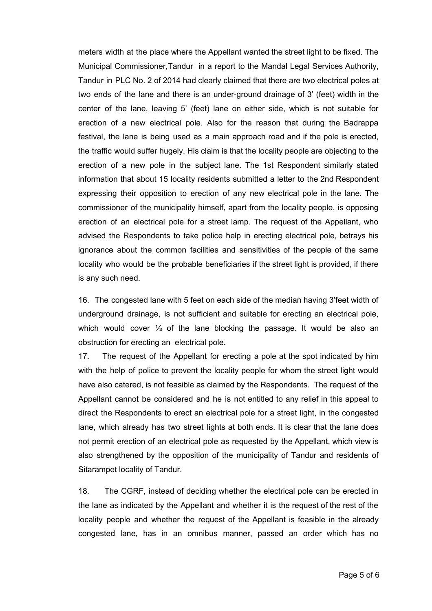meters width at the place where the Appellant wanted the street light to be fixed. The Municipal Commissioner,Tandur in a report to the Mandal Legal Services Authority, Tandur in PLC No. 2 of 2014 had clearly claimed that there are two electrical poles at two ends of the lane and there is an under-ground drainage of 3' (feet) width in the center of the lane, leaving 5' (feet) lane on either side, which is not suitable for erection of a new electrical pole. Also for the reason that during the Badrappa festival, the lane is being used as a main approach road and if the pole is erected, the traffic would suffer hugely. His claim is that the locality people are objecting to the erection of a new pole in the subject lane. The 1st Respondent similarly stated information that about 15 locality residents submitted a letter to the 2nd Respondent expressing their opposition to erection of any new electrical pole in the lane. The commissioner of the municipality himself, apart from the locality people, is opposing erection of an electrical pole for a street lamp. The request of the Appellant, who advised the Respondents to take police help in erecting electrical pole, betrays his ignorance about the common facilities and sensitivities of the people of the same locality who would be the probable beneficiaries if the street light is provided, if there is any such need.

16. The congested lane with 5 feet on each side of the median having 3'feet width of underground drainage, is not sufficient and suitable for erecting an electrical pole, which would cover 1/<sub>3</sub> of the lane blocking the passage. It would be also an obstruction for erecting an electrical pole.

17. The request of the Appellant for erecting a pole at the spot indicated by him with the help of police to prevent the locality people for whom the street light would have also catered, is not feasible as claimed by the Respondents. The request of the Appellant cannot be considered and he is not entitled to any relief in this appeal to direct the Respondents to erect an electrical pole for a street light, in the congested lane, which already has two street lights at both ends. It is clear that the lane does not permit erection of an electrical pole as requested by the Appellant, which view is also strengthened by the opposition of the municipality of Tandur and residents of Sitarampet locality of Tandur.

18. The CGRF, instead of deciding whether the electrical pole can be erected in the lane as indicated by the Appellant and whether it is the request of the rest of the locality people and whether the request of the Appellant is feasible in the already congested lane, has in an omnibus manner, passed an order which has no